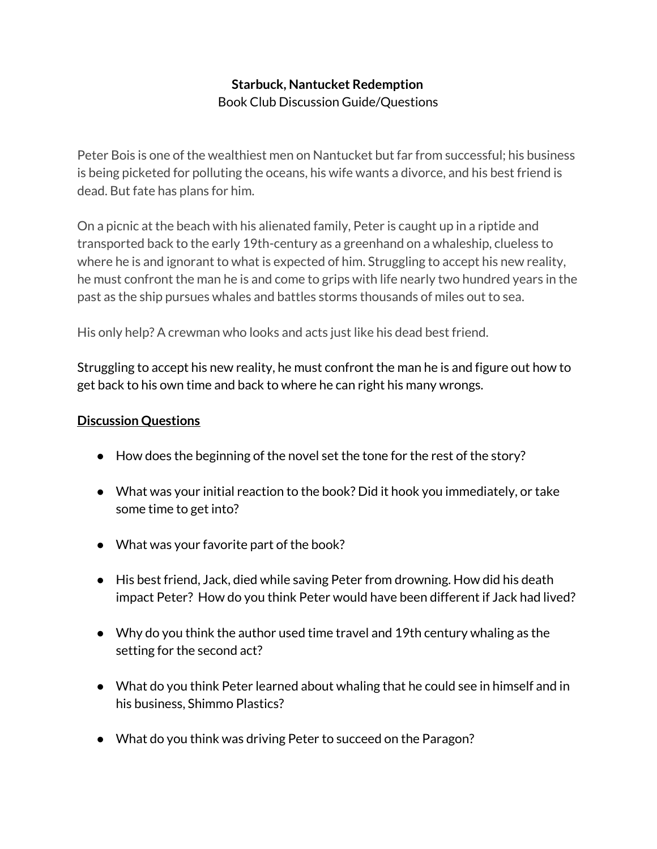## **Starbuck, Nantucket Redemption** Book Club Discussion Guide/Questions

Peter Bois is one of the wealthiest men on Nantucket but far from successful; his business is being picketed for polluting the oceans, his wife wants a divorce, and his best friend is dead. But fate has plans for him.

On a picnic at the beach with his alienated family, Peter is caught up in a riptide and transported back to the early 19th-century as a greenhand on a whaleship, clueless to where he is and ignorant to what is expected of him. Struggling to accept his new reality, he must confront the man he is and come to grips with life nearly two hundred years in the past as the ship pursues whales and battles storms thousands of miles out to sea.

His only help? A crewman who looks and acts just like his dead best friend.

Struggling to accept his new reality, he must confront the man he is and figure out how to get back to his own time and back to where he can right his many wrongs.

## **Discussion Questions**

- How does the beginning of the novel set the tone for the rest of the story?
- What was your initial reaction to the book? Did it hook you immediately, or take some time to get into?
- What was your favorite part of the book?
- His best friend, Jack, died while saving Peter from drowning. How did his death impact Peter? How do you think Peter would have been different if Jack had lived?
- Why do you think the author used time travel and 19th century whaling as the setting for the second act?
- What do you think Peter learned about whaling that he could see in himself and in his business, Shimmo Plastics?
- What do you think was driving Peter to succeed on the Paragon?